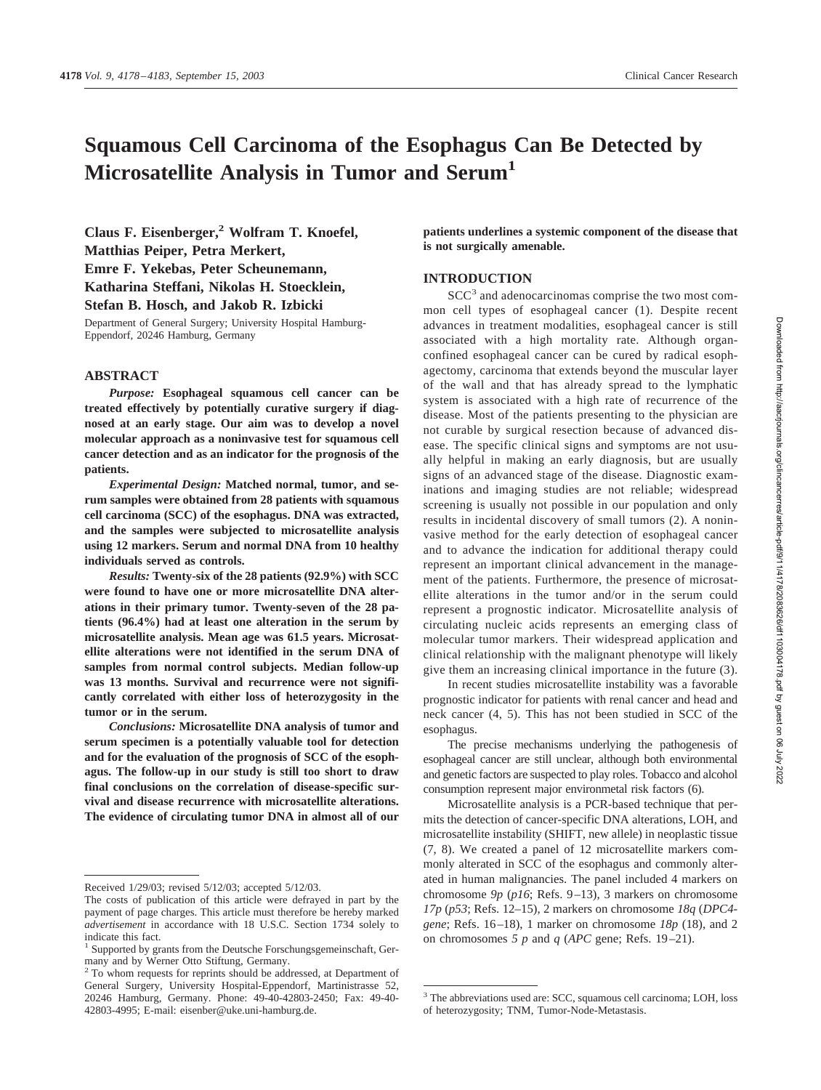# **Squamous Cell Carcinoma of the Esophagus Can Be Detected by Microsatellite Analysis in Tumor and Serum1**

**Claus F. Eisenberger,2 Wolfram T. Knoefel, Matthias Peiper, Petra Merkert, Emre F. Yekebas, Peter Scheunemann, Katharina Steffani, Nikolas H. Stoecklein, Stefan B. Hosch, and Jakob R. Izbicki**

Department of General Surgery; University Hospital Hamburg-Eppendorf, 20246 Hamburg, Germany

## **ABSTRACT**

*Purpose:* **Esophageal squamous cell cancer can be treated effectively by potentially curative surgery if diagnosed at an early stage. Our aim was to develop a novel molecular approach as a noninvasive test for squamous cell cancer detection and as an indicator for the prognosis of the patients.**

*Experimental Design:* **Matched normal, tumor, and serum samples were obtained from 28 patients with squamous cell carcinoma (SCC) of the esophagus. DNA was extracted, and the samples were subjected to microsatellite analysis using 12 markers. Serum and normal DNA from 10 healthy individuals served as controls.**

*Results:* **Twenty-six of the 28 patients (92.9%) with SCC were found to have one or more microsatellite DNA alterations in their primary tumor. Twenty-seven of the 28 patients (96.4%) had at least one alteration in the serum by microsatellite analysis. Mean age was 61.5 years. Microsatellite alterations were not identified in the serum DNA of samples from normal control subjects. Median follow-up was 13 months. Survival and recurrence were not significantly correlated with either loss of heterozygosity in the tumor or in the serum.**

*Conclusions:* **Microsatellite DNA analysis of tumor and serum specimen is a potentially valuable tool for detection and for the evaluation of the prognosis of SCC of the esophagus. The follow-up in our study is still too short to draw final conclusions on the correlation of disease-specific survival and disease recurrence with microsatellite alterations. The evidence of circulating tumor DNA in almost all of our**

**patients underlines a systemic component of the disease that is not surgically amenable.**

## **INTRODUCTION**

SCC<sup>3</sup> and adenocarcinomas comprise the two most common cell types of esophageal cancer (1). Despite recent advances in treatment modalities, esophageal cancer is still associated with a high mortality rate. Although organconfined esophageal cancer can be cured by radical esophagectomy, carcinoma that extends beyond the muscular layer of the wall and that has already spread to the lymphatic system is associated with a high rate of recurrence of the disease. Most of the patients presenting to the physician are not curable by surgical resection because of advanced disease. The specific clinical signs and symptoms are not usually helpful in making an early diagnosis, but are usually signs of an advanced stage of the disease. Diagnostic examinations and imaging studies are not reliable; widespread screening is usually not possible in our population and only results in incidental discovery of small tumors (2). A noninvasive method for the early detection of esophageal cancer and to advance the indication for additional therapy could represent an important clinical advancement in the management of the patients. Furthermore, the presence of microsatellite alterations in the tumor and/or in the serum could represent a prognostic indicator. Microsatellite analysis of circulating nucleic acids represents an emerging class of molecular tumor markers. Their widespread application and clinical relationship with the malignant phenotype will likely give them an increasing clinical importance in the future (3).

In recent studies microsatellite instability was a favorable prognostic indicator for patients with renal cancer and head and neck cancer (4, 5). This has not been studied in SCC of the esophagus.

The precise mechanisms underlying the pathogenesis of esophageal cancer are still unclear, although both environmental and genetic factors are suspected to play roles. Tobacco and alcohol consumption represent major environmetal risk factors (6).

Microsatellite analysis is a PCR-based technique that permits the detection of cancer-specific DNA alterations, LOH, and microsatellite instability (SHIFT, new allele) in neoplastic tissue (7, 8). We created a panel of 12 microsatellite markers commonly alterated in SCC of the esophagus and commonly alterated in human malignancies. The panel included 4 markers on chromosome *9p* (*p16*; Refs. 9–13), 3 markers on chromosome *17p* (*p53*; Refs. 12–15), 2 markers on chromosome *18q* (*DPC4 gene*; Refs. 16–18), 1 marker on chromosome *18p* (18), and 2 on chromosomes *5 p* and *q* (*APC* gene; Refs. 19–21).

Received 1/29/03; revised 5/12/03; accepted 5/12/03.

The costs of publication of this article were defrayed in part by the payment of page charges. This article must therefore be hereby marked *advertisement* in accordance with 18 U.S.C. Section 1734 solely to indicate this fact.

<sup>&</sup>lt;sup>1</sup> Supported by grants from the Deutsche Forschungsgemeinschaft, Germany and by Werner Otto Stiftung, Germany.

<sup>&</sup>lt;sup>2</sup> To whom requests for reprints should be addressed, at Department of General Surgery, University Hospital-Eppendorf, Martinistrasse 52, 20246 Hamburg, Germany. Phone: 49-40-42803-2450; Fax: 49-40- 42803-4995; E-mail: eisenber@uke.uni-hamburg.de.

<sup>3</sup> The abbreviations used are: SCC, squamous cell carcinoma; LOH, loss of heterozygosity; TNM, Tumor-Node-Metastasis.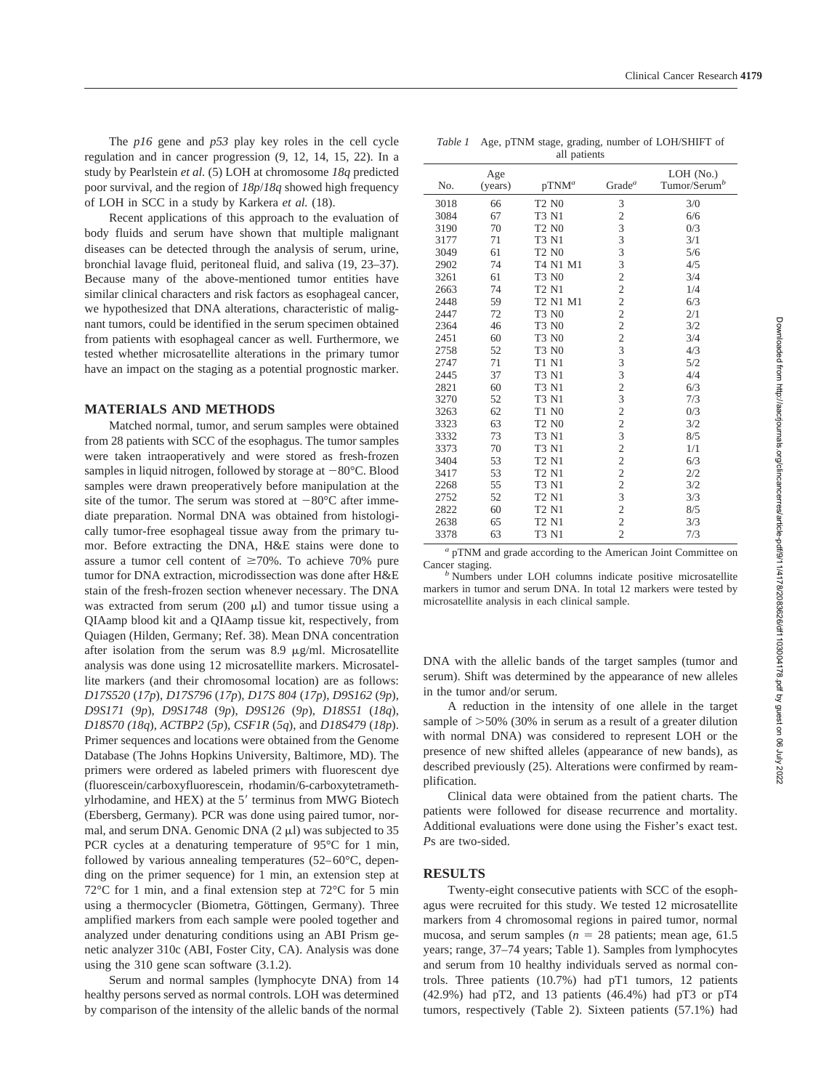The *p16* gene and *p53* play key roles in the cell cycle regulation and in cancer progression (9, 12, 14, 15, 22). In a study by Pearlstein *et al.* (5) LOH at chromosome *18q* predicted poor survival, and the region of *18p*/*18q* showed high frequency of LOH in SCC in a study by Karkera *et al.* (18).

Recent applications of this approach to the evaluation of body fluids and serum have shown that multiple malignant diseases can be detected through the analysis of serum, urine, bronchial lavage fluid, peritoneal fluid, and saliva (19, 23–37). Because many of the above-mentioned tumor entities have similar clinical characters and risk factors as esophageal cancer, we hypothesized that DNA alterations, characteristic of malignant tumors, could be identified in the serum specimen obtained from patients with esophageal cancer as well. Furthermore, we tested whether microsatellite alterations in the primary tumor have an impact on the staging as a potential prognostic marker.

## **MATERIALS AND METHODS**

Matched normal, tumor, and serum samples were obtained from 28 patients with SCC of the esophagus. The tumor samples were taken intraoperatively and were stored as fresh-frozen samples in liquid nitrogen, followed by storage at  $-80^{\circ}$ C. Blood samples were drawn preoperatively before manipulation at the site of the tumor. The serum was stored at  $-80^{\circ}$ C after immediate preparation. Normal DNA was obtained from histologically tumor-free esophageal tissue away from the primary tumor. Before extracting the DNA, H&E stains were done to assure a tumor cell content of  $\geq 70\%$ . To achieve 70% pure tumor for DNA extraction, microdissection was done after H&E stain of the fresh-frozen section whenever necessary. The DNA was extracted from serum (200  $\mu$ l) and tumor tissue using a QIAamp blood kit and a QIAamp tissue kit, respectively, from Quiagen (Hilden, Germany; Ref. 38). Mean DNA concentration after isolation from the serum was  $8.9 \mu g/ml$ . Microsatellite analysis was done using 12 microsatellite markers. Microsatellite markers (and their chromosomal location) are as follows: *D17S520* (*17p*), *D17S796* (*17p*), *D17S 804* (*17p*), *D9S162* (*9p*), *D9S171* (*9p*), *D9S1748* (*9p*), *D9S126* (*9p*), *D18S51* (*18q*), *D18S70 (18q*), *ACTBP2* (*5p*), *CSF1R* (*5q*), and *D18S479* (*18p*). Primer sequences and locations were obtained from the Genome Database (The Johns Hopkins University, Baltimore, MD). The primers were ordered as labeled primers with fluorescent dye (fluorescein/carboxyfluorescein, rhodamin/6-carboxytetramethylrhodamine, and HEX) at the 5' terminus from MWG Biotech (Ebersberg, Germany). PCR was done using paired tumor, normal, and serum DNA. Genomic DNA  $(2 \mu l)$  was subjected to 35 PCR cycles at a denaturing temperature of 95°C for 1 min, followed by various annealing temperatures (52–60°C, depending on the primer sequence) for 1 min, an extension step at 72°C for 1 min, and a final extension step at 72°C for 5 min using a thermocycler (Biometra, Göttingen, Germany). Three amplified markers from each sample were pooled together and analyzed under denaturing conditions using an ABI Prism genetic analyzer 310c (ABI, Foster City, CA). Analysis was done using the 310 gene scan software (3.1.2).

Serum and normal samples (lymphocyte DNA) from 14 healthy persons served as normal controls. LOH was determined by comparison of the intensity of the allelic bands of the normal

| Table 1 Age, pTNM stage, grading, number of LOH/SHIFT of |
|----------------------------------------------------------|
| all patients                                             |

| No.  | Age<br>(years) | $pTNM^a$                      | Grade <sup>a</sup>      | $LOH$ (No.)<br>Tumor/Serum <sup>b</sup> |
|------|----------------|-------------------------------|-------------------------|-----------------------------------------|
| 3018 | 66             | <b>T2 N0</b>                  | 3                       | 3/0                                     |
| 3084 | 67             | T3 N1                         | $\overline{c}$          | 6/6                                     |
| 3190 | 70             | <b>T2 N0</b>                  | 3                       | 0/3                                     |
| 3177 | 71             | <b>T3 N1</b>                  | 3                       | 3/1                                     |
| 3049 | 61             | <b>T2 N0</b>                  | 3                       | 5/6                                     |
| 2902 | 74             | T4 N1 M1                      | 3                       | 4/5                                     |
| 3261 | 61             | <b>T3 N0</b>                  | $\overline{c}$          | 3/4                                     |
| 2663 | 74             | <b>T2 N1</b>                  | $\overline{c}$          | 1/4                                     |
| 2448 | 59             | T2 N1 M1                      | $\overline{2}$          | 6/3                                     |
| 2447 | 72             | <b>T3 N0</b>                  | $\overline{c}$          | 2/1                                     |
| 2364 | 46             | <b>T3 N0</b>                  | $\overline{c}$          | 3/2                                     |
| 2451 | 60             | <b>T3 N0</b>                  | $\overline{c}$          | 3/4                                     |
| 2758 | 52             | <b>T3 N0</b>                  | 3                       | 4/3                                     |
| 2747 | 71             | <b>T1 N1</b>                  | 3                       | 5/2                                     |
| 2445 | 37             | <b>T3 N1</b>                  | 3                       | 4/4                                     |
| 2821 | 60             | <b>T3 N1</b>                  | $\overline{c}$          | 6/3                                     |
| 3270 | 52             | <b>T3 N1</b>                  | 3                       | 7/3                                     |
| 3263 | 62             | T1 N0                         | $\overline{c}$          | 0/3                                     |
| 3323 | 63             | <b>T2 N0</b>                  | $\overline{\mathbf{c}}$ | 3/2                                     |
| 3332 | 73             | <b>T3 N1</b>                  | 3                       | 8/5                                     |
| 3373 | 70             | <b>T3 N1</b>                  | $\overline{c}$          | 1/1                                     |
| 3404 | 53             | <b>T2 N1</b>                  | $\overline{c}$          | 6/3                                     |
| 3417 | 53             | T <sub>2</sub> N <sub>1</sub> | $\overline{\mathbf{c}}$ | 2/2                                     |
| 2268 | 55             | T3 N1                         | $\overline{c}$          | 3/2                                     |
| 2752 | 52             | T <sub>2</sub> N <sub>1</sub> | 3                       | 3/3                                     |
| 2822 | 60             | T <sub>2</sub> N <sub>1</sub> | $\overline{c}$          | 8/5                                     |
| 2638 | 65             | <b>T2 N1</b>                  | $\overline{c}$          | 3/3                                     |
| 3378 | 63             | <b>T3 N1</b>                  | $\overline{2}$          | 7/3                                     |

*<sup>a</sup>* pTNM and grade according to the American Joint Committee on Cancer staging. *<sup>b</sup>* Numbers under LOH columns indicate positive microsatellite

markers in tumor and serum DNA. In total 12 markers were tested by microsatellite analysis in each clinical sample.

DNA with the allelic bands of the target samples (tumor and serum). Shift was determined by the appearance of new alleles in the tumor and/or serum.

A reduction in the intensity of one allele in the target sample of  $>50\%$  (30% in serum as a result of a greater dilution with normal DNA) was considered to represent LOH or the presence of new shifted alleles (appearance of new bands), as described previously (25). Alterations were confirmed by reamplification.

Clinical data were obtained from the patient charts. The patients were followed for disease recurrence and mortality. Additional evaluations were done using the Fisher's exact test. *P*s are two-sided.

#### **RESULTS**

Twenty-eight consecutive patients with SCC of the esophagus were recruited for this study. We tested 12 microsatellite markers from 4 chromosomal regions in paired tumor, normal mucosa, and serum samples ( $n = 28$  patients; mean age, 61.5 years; range, 37–74 years; Table 1). Samples from lymphocytes and serum from 10 healthy individuals served as normal controls. Three patients (10.7%) had pT1 tumors, 12 patients (42.9%) had pT2, and 13 patients (46.4%) had pT3 or pT4 tumors, respectively (Table 2). Sixteen patients (57.1%) had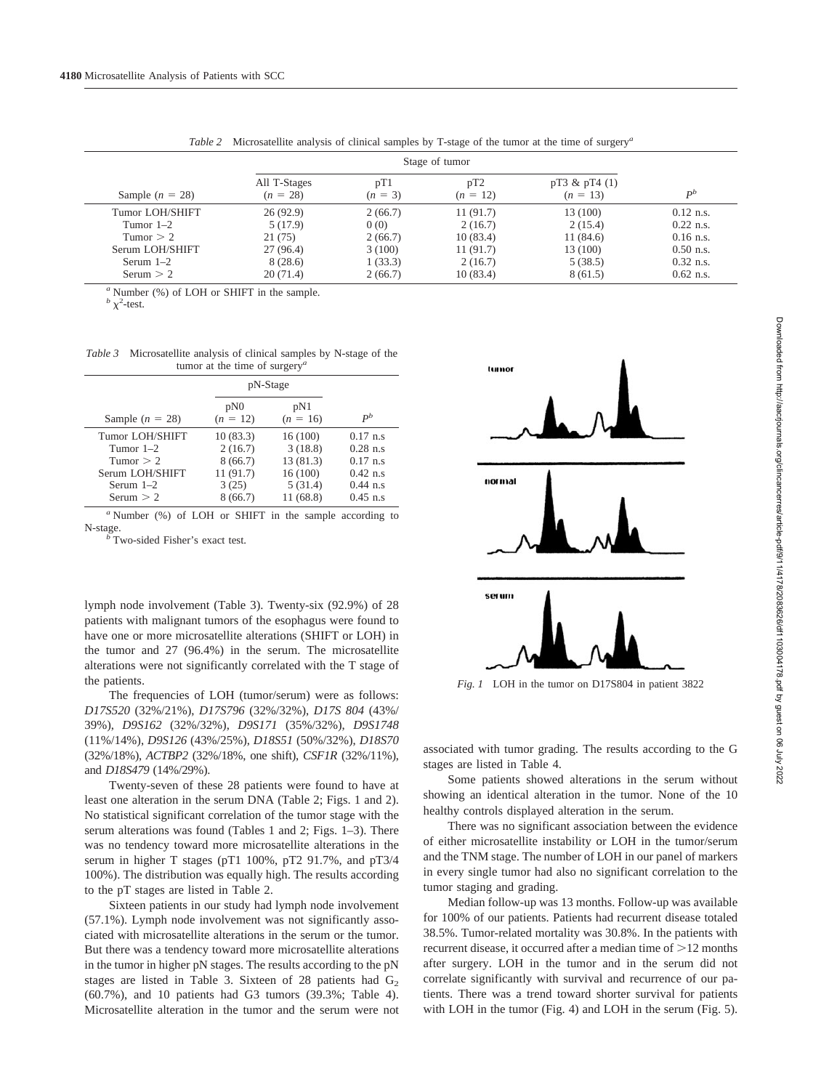|                                                      |                                                 | Stage of tumor                                         |                                                        |                                                                                        |  |
|------------------------------------------------------|-------------------------------------------------|--------------------------------------------------------|--------------------------------------------------------|----------------------------------------------------------------------------------------|--|
| All T-Stages<br>$(n = 28)$                           | pT1<br>$(n = 3)$                                | pT <sub>2</sub><br>$(n = 12)$                          | pT3 & pT4(1)<br>$(n = 13)$                             | $D^b$                                                                                  |  |
| 26(92.9)<br>5(17.9)<br>21(75)<br>27(96.4)<br>8(28.6) | 2(66.7)<br>0(0)<br>2(66.7)<br>3(100)<br>1(33.3) | 11(91.7)<br>2(16.7)<br>10(83.4)<br>11(91.7)<br>2(16.7) | 13 (100)<br>2(15.4)<br>11(84.6)<br>13 (100)<br>5(38.5) | $0.12$ n.s.<br>$0.22$ n.s.<br>$0.16$ n.s.<br>$0.50$ n.s.<br>$0.32$ n.s.<br>$0.62$ n.s. |  |
|                                                      | 20(71.4)                                        | 2(66.7)                                                | 10(83.4)                                               | 8(61.5)                                                                                |  |

*Table 2* Microsatellite analysis of clinical samples by T-stage of the tumor at the time of surgery*<sup>a</sup>*

*<sup>a</sup>* Number (%) of LOH or SHIFT in the sample.

 $\frac{b}{\chi^2}$ -test.

*Table 3* Microsatellite analysis of clinical samples by N-stage of the tumor at the time of surgery*<sup>a</sup>*

|                                                                                                | pN-Stage                                                       |                                                                   |                                                                                       |
|------------------------------------------------------------------------------------------------|----------------------------------------------------------------|-------------------------------------------------------------------|---------------------------------------------------------------------------------------|
| Sample $(n = 28)$                                                                              | pN0<br>$(n = 12)$                                              | pN1<br>$(n = 16)$                                                 | $P^b$                                                                                 |
| Tumor LOH/SHIFT<br>Tumor $1-2$<br>Tumor $> 2$<br>Serum LOH/SHIFT<br>Serum $1-2$<br>Serum $> 2$ | 10(83.3)<br>2(16.7)<br>8(66.7)<br>11(91.7)<br>3(25)<br>8(66.7) | 16(100)<br>3(18.8)<br>13 (81.3)<br>16(100)<br>5(31.4)<br>11(68.8) | $0.17$ n.s.<br>$0.28$ n.s<br>$0.17$ n.s.<br>$0.42$ n.s.<br>$0.44$ n.s.<br>$0.45$ n.s. |

*<sup>a</sup>* Number (%) of LOH or SHIFT in the sample according to N-stage. *<sup>b</sup>* Two-sided Fisher's exact test.

lymph node involvement (Table 3). Twenty-six (92.9%) of 28 patients with malignant tumors of the esophagus were found to have one or more microsatellite alterations (SHIFT or LOH) in the tumor and 27 (96.4%) in the serum. The microsatellite alterations were not significantly correlated with the T stage of the patients.

The frequencies of LOH (tumor/serum) were as follows: *D17S520* (32%/21%), *D17S796* (32%/32%), *D17S 804* (43%/ 39%), *D9S162* (32%/32%), *D9S171* (35%/32%), *D9S1748* (11%/14%), *D9S126* (43%/25%), *D18S51* (50%/32%), *D18S70* (32%/18%), *ACTBP2* (32%/18%, one shift), *CSF1R* (32%/11%), and *D18S479* (14%/29%).

Twenty-seven of these 28 patients were found to have at least one alteration in the serum DNA (Table 2; Figs. 1 and 2). No statistical significant correlation of the tumor stage with the serum alterations was found (Tables 1 and 2; Figs. 1–3). There was no tendency toward more microsatellite alterations in the serum in higher T stages (pT1 100%, pT2 91.7%, and pT3/4 100%). The distribution was equally high. The results according to the pT stages are listed in Table 2.

Sixteen patients in our study had lymph node involvement (57.1%). Lymph node involvement was not significantly associated with microsatellite alterations in the serum or the tumor. But there was a tendency toward more microsatellite alterations in the tumor in higher pN stages. The results according to the pN stages are listed in Table 3. Sixteen of 28 patients had  $G<sub>2</sub>$ (60.7%), and 10 patients had G3 tumors (39.3%; Table 4). Microsatellite alteration in the tumor and the serum were not



*Fig. 1* LOH in the tumor on D17S804 in patient 3822

associated with tumor grading. The results according to the G stages are listed in Table 4.

Some patients showed alterations in the serum without showing an identical alteration in the tumor. None of the 10 healthy controls displayed alteration in the serum.

There was no significant association between the evidence of either microsatellite instability or LOH in the tumor/serum and the TNM stage. The number of LOH in our panel of markers in every single tumor had also no significant correlation to the tumor staging and grading.

Median follow-up was 13 months. Follow-up was available for 100% of our patients. Patients had recurrent disease totaled 38.5%. Tumor-related mortality was 30.8%. In the patients with recurrent disease, it occurred after a median time of  $>12$  months after surgery. LOH in the tumor and in the serum did not correlate significantly with survival and recurrence of our patients. There was a trend toward shorter survival for patients with LOH in the tumor (Fig. 4) and LOH in the serum (Fig. 5).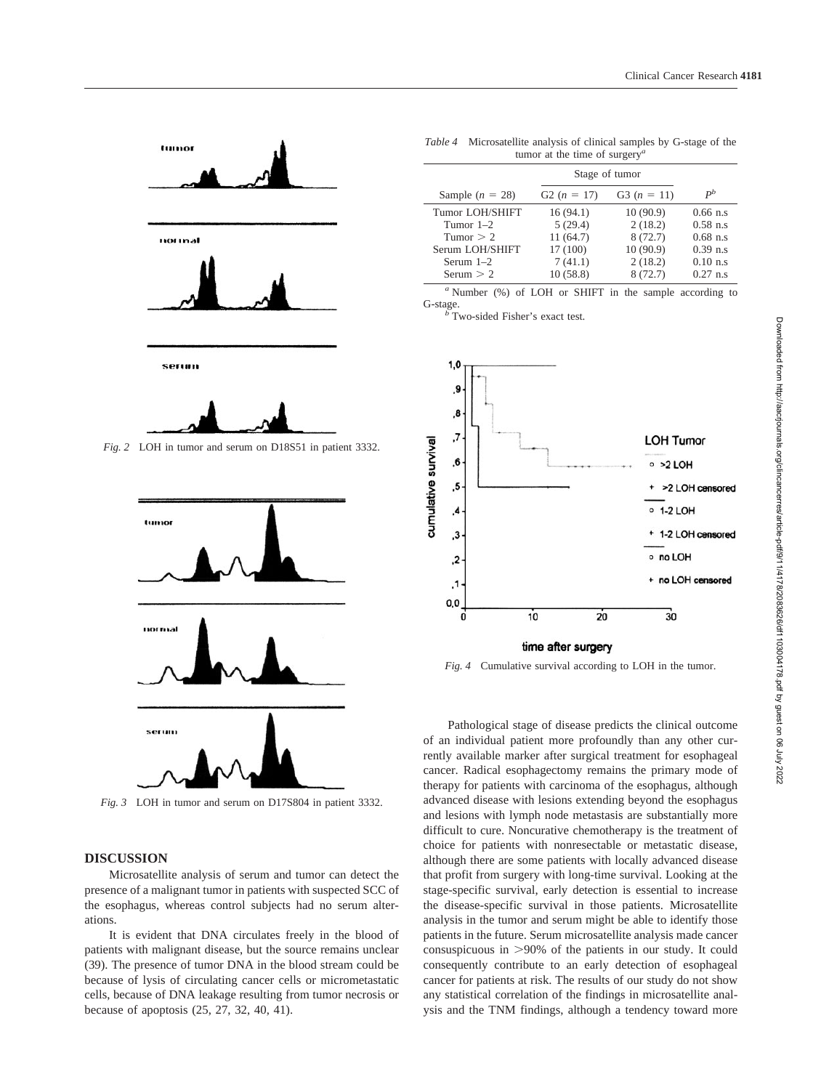

*Fig. 2* LOH in tumor and serum on D18S51 in patient 3332.



*Fig. 3* LOH in tumor and serum on D17S804 in patient 3332.

## **DISCUSSION**

Microsatellite analysis of serum and tumor can detect the presence of a malignant tumor in patients with suspected SCC of the esophagus, whereas control subjects had no serum alterations.

It is evident that DNA circulates freely in the blood of patients with malignant disease, but the source remains unclear (39). The presence of tumor DNA in the blood stream could be because of lysis of circulating cancer cells or micrometastatic cells, because of DNA leakage resulting from tumor necrosis or because of apoptosis (25, 27, 32, 40, 41).

| <i>Table 4</i> Microsatellite analysis of clinical samples by G-stage of the |
|------------------------------------------------------------------------------|
| tumor at the time of surgery <sup><i>a</i></sup>                             |

|                   | Stage of tumor |               |             |
|-------------------|----------------|---------------|-------------|
| Sample $(n = 28)$ | G2 $(n = 17)$  | G3 $(n = 11)$ | $P^b$       |
| Tumor LOH/SHIFT   | 16(94.1)       | 10(90.9)      | $0.66$ n.s. |
| Tumor $1-2$       | 5(29.4)        | 2(18.2)       | $0.58$ n.s  |
| Tumor $> 2$       | 11(64.7)       | 8(72.7)       | $0.68$ n.s. |
| Serum LOH/SHIFT   | 17 (100)       | 10(90.9)      | $0.39$ n.s  |
| Serum $1-2$       | 7(41.1)        | 2(18.2)       | $0.10$ n.s  |
| Serum $> 2$       | 10(58.8)       | 8(72.7)       | $0.27$ n.s. |

*<sup>a</sup>* Number (%) of LOH or SHIFT in the sample according to G-stage. *<sup>b</sup>* Two-sided Fisher's exact test.



*Fig. 4* Cumulative survival according to LOH in the tumor.

Pathological stage of disease predicts the clinical outcome of an individual patient more profoundly than any other currently available marker after surgical treatment for esophageal cancer. Radical esophagectomy remains the primary mode of therapy for patients with carcinoma of the esophagus, although advanced disease with lesions extending beyond the esophagus and lesions with lymph node metastasis are substantially more difficult to cure. Noncurative chemotherapy is the treatment of choice for patients with nonresectable or metastatic disease, although there are some patients with locally advanced disease that profit from surgery with long-time survival. Looking at the stage-specific survival, early detection is essential to increase the disease-specific survival in those patients. Microsatellite analysis in the tumor and serum might be able to identify those patients in the future. Serum microsatellite analysis made cancer consuspicuous in  $>90\%$  of the patients in our study. It could consequently contribute to an early detection of esophageal cancer for patients at risk. The results of our study do not show any statistical correlation of the findings in microsatellite analysis and the TNM findings, although a tendency toward more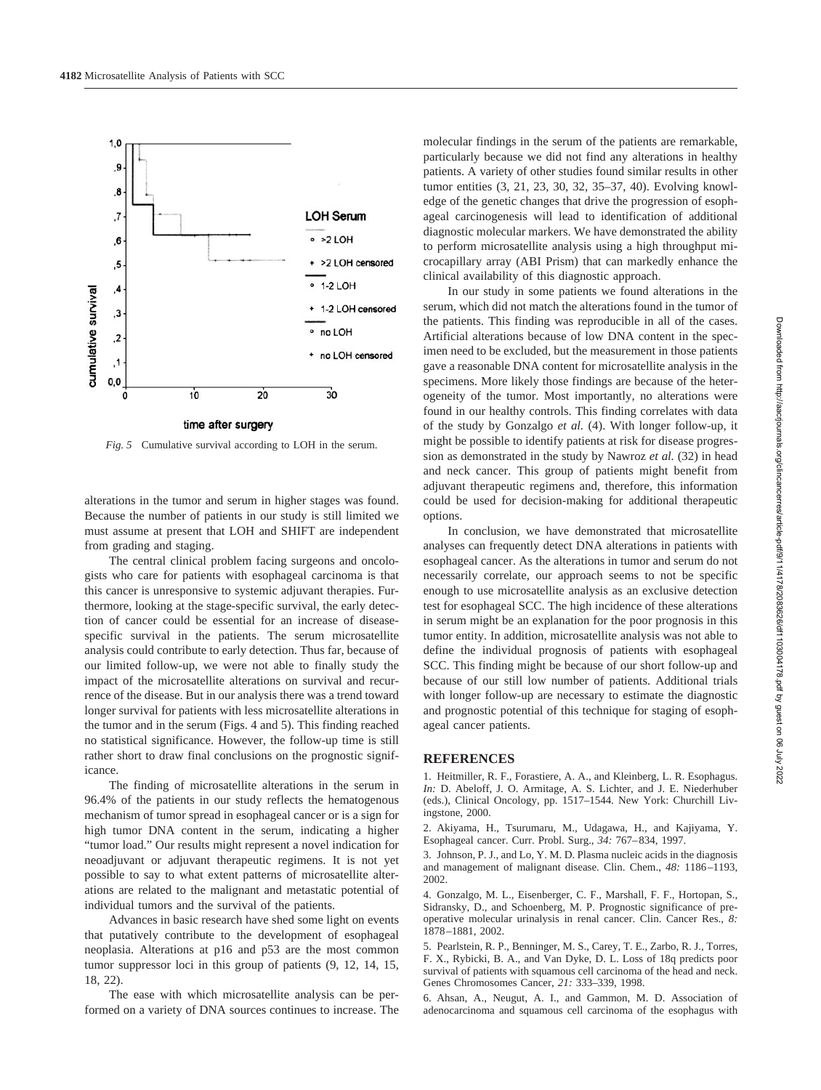

*Fig. 5* Cumulative survival according to LOH in the serum.

alterations in the tumor and serum in higher stages was found. Because the number of patients in our study is still limited we must assume at present that LOH and SHIFT are independent from grading and staging.

The central clinical problem facing surgeons and oncologists who care for patients with esophageal carcinoma is that this cancer is unresponsive to systemic adjuvant therapies. Furthermore, looking at the stage-specific survival, the early detection of cancer could be essential for an increase of diseasespecific survival in the patients. The serum microsatellite analysis could contribute to early detection. Thus far, because of our limited follow-up, we were not able to finally study the impact of the microsatellite alterations on survival and recurrence of the disease. But in our analysis there was a trend toward longer survival for patients with less microsatellite alterations in the tumor and in the serum (Figs. 4 and 5). This finding reached no statistical significance. However, the follow-up time is still rather short to draw final conclusions on the prognostic significance.

The finding of microsatellite alterations in the serum in 96.4% of the patients in our study reflects the hematogenous mechanism of tumor spread in esophageal cancer or is a sign for high tumor DNA content in the serum, indicating a higher "tumor load." Our results might represent a novel indication for neoadjuvant or adjuvant therapeutic regimens. It is not yet possible to say to what extent patterns of microsatellite alterations are related to the malignant and metastatic potential of individual tumors and the survival of the patients.

Advances in basic research have shed some light on events that putatively contribute to the development of esophageal neoplasia. Alterations at p16 and p53 are the most common tumor suppressor loci in this group of patients (9, 12, 14, 15, 18, 22).

The ease with which microsatellite analysis can be performed on a variety of DNA sources continues to increase. The molecular findings in the serum of the patients are remarkable, particularly because we did not find any alterations in healthy patients. A variety of other studies found similar results in other tumor entities (3, 21, 23, 30, 32, 35–37, 40). Evolving knowledge of the genetic changes that drive the progression of esophageal carcinogenesis will lead to identification of additional diagnostic molecular markers. We have demonstrated the ability to perform microsatellite analysis using a high throughput microcapillary array (ABI Prism) that can markedly enhance the clinical availability of this diagnostic approach.

In our study in some patients we found alterations in the serum, which did not match the alterations found in the tumor of the patients. This finding was reproducible in all of the cases. Artificial alterations because of low DNA content in the specimen need to be excluded, but the measurement in those patients gave a reasonable DNA content for microsatellite analysis in the specimens. More likely those findings are because of the heterogeneity of the tumor. Most importantly, no alterations were found in our healthy controls. This finding correlates with data of the study by Gonzalgo *et al.* (4). With longer follow-up, it might be possible to identify patients at risk for disease progression as demonstrated in the study by Nawroz *et al.* (32) in head and neck cancer. This group of patients might benefit from adjuvant therapeutic regimens and, therefore, this information could be used for decision-making for additional therapeutic options.

In conclusion, we have demonstrated that microsatellite analyses can frequently detect DNA alterations in patients with esophageal cancer. As the alterations in tumor and serum do not necessarily correlate, our approach seems to not be specific enough to use microsatellite analysis as an exclusive detection test for esophageal SCC. The high incidence of these alterations in serum might be an explanation for the poor prognosis in this tumor entity. In addition, microsatellite analysis was not able to define the individual prognosis of patients with esophageal SCC. This finding might be because of our short follow-up and because of our still low number of patients. Additional trials with longer follow-up are necessary to estimate the diagnostic and prognostic potential of this technique for staging of esophageal cancer patients.

#### **REFERENCES**

1. Heitmiller, R. F., Forastiere, A. A., and Kleinberg, L. R. Esophagus. *In:* D. Abeloff, J. O. Armitage, A. S. Lichter, and J. E. Niederhuber (eds.), Clinical Oncology, pp. 1517–1544. New York: Churchill Livingstone, 2000.

2. Akiyama, H., Tsurumaru, M., Udagawa, H., and Kajiyama, Y. Esophageal cancer. Curr. Probl. Surg., *34:* 767–834, 1997.

3. Johnson, P. J., and Lo, Y. M. D. Plasma nucleic acids in the diagnosis and management of malignant disease. Clin. Chem., *48:* 1186–1193, 2002.

4. Gonzalgo, M. L., Eisenberger, C. F., Marshall, F. F., Hortopan, S., Sidransky, D., and Schoenberg, M. P. Prognostic significance of preoperative molecular urinalysis in renal cancer. Clin. Cancer Res., *8:* 1878–1881, 2002.

5. Pearlstein, R. P., Benninger, M. S., Carey, T. E., Zarbo, R. J., Torres, F. X., Rybicki, B. A., and Van Dyke, D. L. Loss of 18q predicts poor survival of patients with squamous cell carcinoma of the head and neck. Genes Chromosomes Cancer, *21:* 333–339, 1998.

6. Ahsan, A., Neugut, A. I., and Gammon, M. D. Association of adenocarcinoma and squamous cell carcinoma of the esophagus with